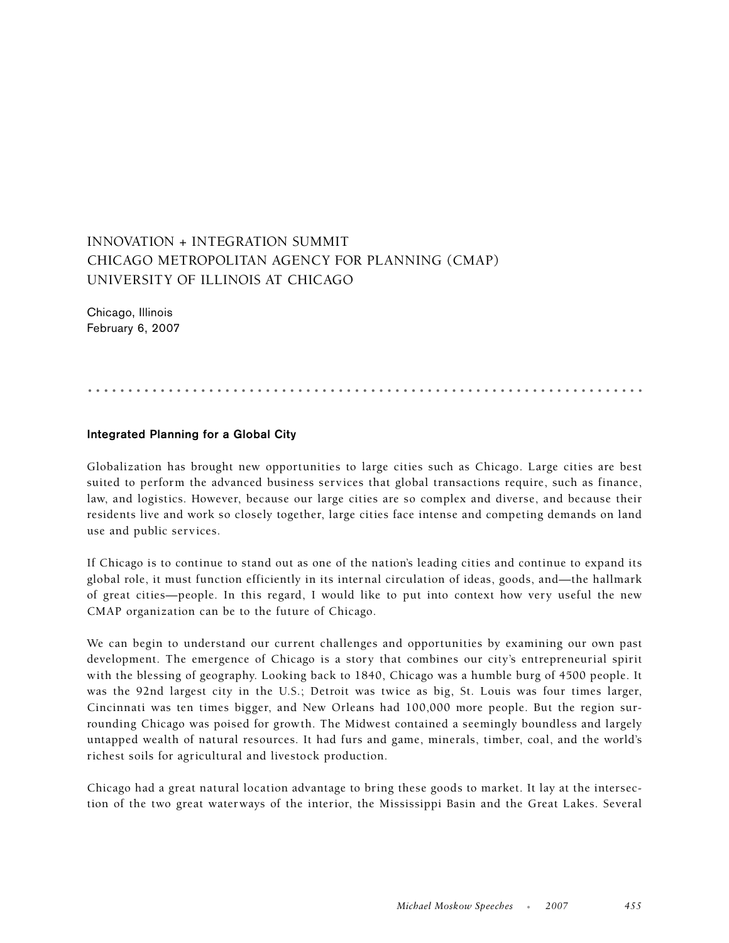## INNOVATION + INTEGRATION SUMMIT CHICAGO METROPOLITAN AGENCY FOR PLANNING (CMAP) UNIVERSITY OF ILLINOIS AT CHICAGO

Chicago, Illinois February 6, 2007

.....................................................................

## **Integrated Planning for a Global City**

Globalization has brought new opportunities to large cities such as Chicago. Large cities are best suited to perform the advanced business services that global transactions require, such as finance, law, and logistics. However, because our large cities are so complex and diverse, and because their residents live and work so closely together, large cities face intense and competing demands on land use and public services.

If Chicago is to continue to stand out as one of the nation's leading cities and continue to expand its global role, it must function efficiently in its internal circulation of ideas, goods, and—the hallmark of great cities—people. In this regard, I would like to put into context how very useful the new CMAP organization can be to the future of Chicago.

We can begin to understand our current challenges and opportunities by examining our own past development. The emergence of Chicago is a story that combines our city's entrepreneurial spirit with the blessing of geography. Looking back to 1840, Chicago was a humble burg of 4500 people. It was the 92nd largest city in the U.S.; Detroit was twice as big, St. Louis was four times larger, Cincinnati was ten times bigger, and New Orleans had 100,000 more people. But the region surrounding Chicago was poised for growth. The Midwest contained a seemingly boundless and largely untapped wealth of natural resources. It had furs and game, minerals, timber, coal, and the world's richest soils for agricultural and livestock production.

Chicago had a great natural location advantage to bring these goods to market. It lay at the intersection of the two great waterways of the interior, the Mississippi Basin and the Great Lakes. Several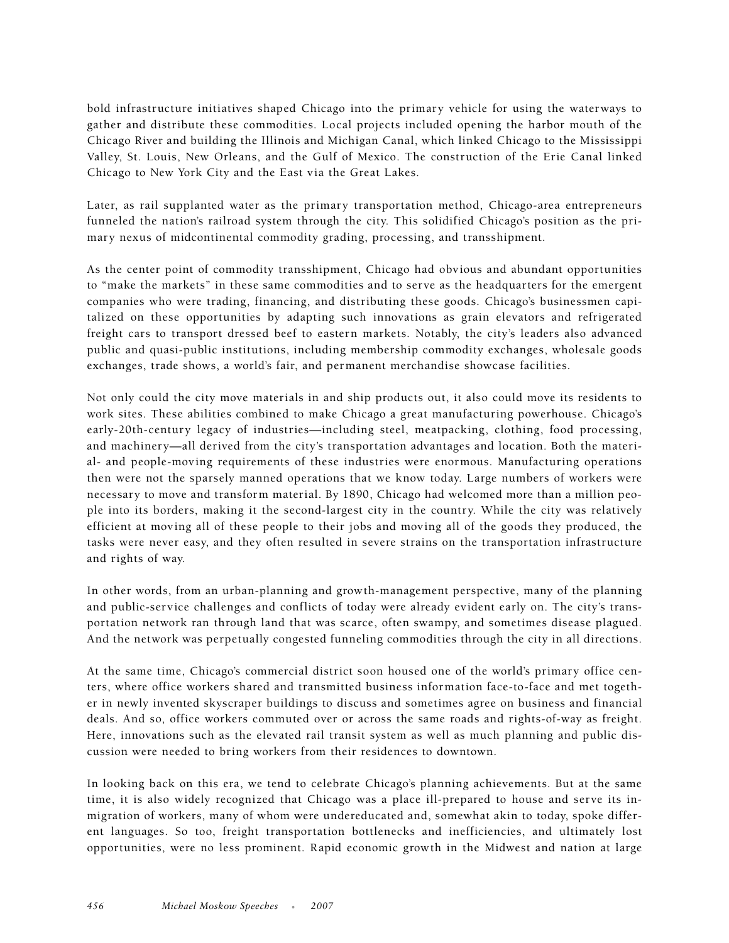bold infrastructure initiatives shaped Chicago into the primary vehicle for using the waterways to gather and distribute these commodities. Local projects included opening the harbor mouth of the Chicago River and building the Illinois and Michigan Canal, which linked Chicago to the Mississippi Valley, St. Louis, New Orleans, and the Gulf of Mexico. The construction of the Erie Canal linked Chicago to New York City and the East via the Great Lakes.

Later, as rail supplanted water as the primary transportation method, Chicago-area entrepreneurs funneled the nation's railroad system through the city. This solidified Chicago's position as the primary nexus of midcontinental commodity grading, processing, and transshipment.

As the center point of commodity transshipment, Chicago had obvious and abundant opportunities to "make the markets" in these same commodities and to serve as the headquarters for the emergent companies who were trading, financing, and distributing these goods. Chicago's businessmen capitalized on these opportunities by adapting such innovations as grain elevators and refrigerated freight cars to transport dressed beef to eastern markets. Notably, the city's leaders also advanced public and quasi-public institutions, including membership commodity exchanges, wholesale goods exchanges, trade shows, a world's fair, and permanent merchandise showcase facilities.

Not only could the city move materials in and ship products out, it also could move its residents to work sites. These abilities combined to make Chicago a great manufacturing powerhouse. Chicago's early-20th-century legacy of industries—including steel, meatpacking, clothing, food processing, and machinery—all derived from the city's transportation advantages and location. Both the material- and people-moving requirements of these industries were enormous. Manufacturing operations then were not the sparsely manned operations that we know today. Large numbers of workers were necessary to move and transform material. By 1890, Chicago had welcomed more than a million people into its borders, making it the second-largest city in the country. While the city was relatively efficient at moving all of these people to their jobs and moving all of the goods they produced, the tasks were never easy, and they often resulted in severe strains on the transportation infrastructure and rights of way.

In other words, from an urban-planning and growth-management perspective, many of the planning and public-service challenges and conflicts of today were already evident early on. The city's transportation network ran through land that was scarce, often swampy, and sometimes disease plagued. And the network was perpetually congested funneling commodities through the city in all directions.

At the same time, Chicago's commercial district soon housed one of the world's primary office centers, where office workers shared and transmitted business information face-to-face and met together in newly invented skyscraper buildings to discuss and sometimes agree on business and financial deals. And so, office workers commuted over or across the same roads and rights-of-way as freight. Here, innovations such as the elevated rail transit system as well as much planning and public discussion were needed to bring workers from their residences to downtown.

In looking back on this era, we tend to celebrate Chicago's planning achievements. But at the same time, it is also widely recognized that Chicago was a place ill-prepared to house and serve its inmigration of workers, many of whom were undereducated and, somewhat akin to today, spoke different languages. So too, freight transportation bottlenecks and inefficiencies, and ultimately lost opportunities, were no less prominent. Rapid economic growth in the Midwest and nation at large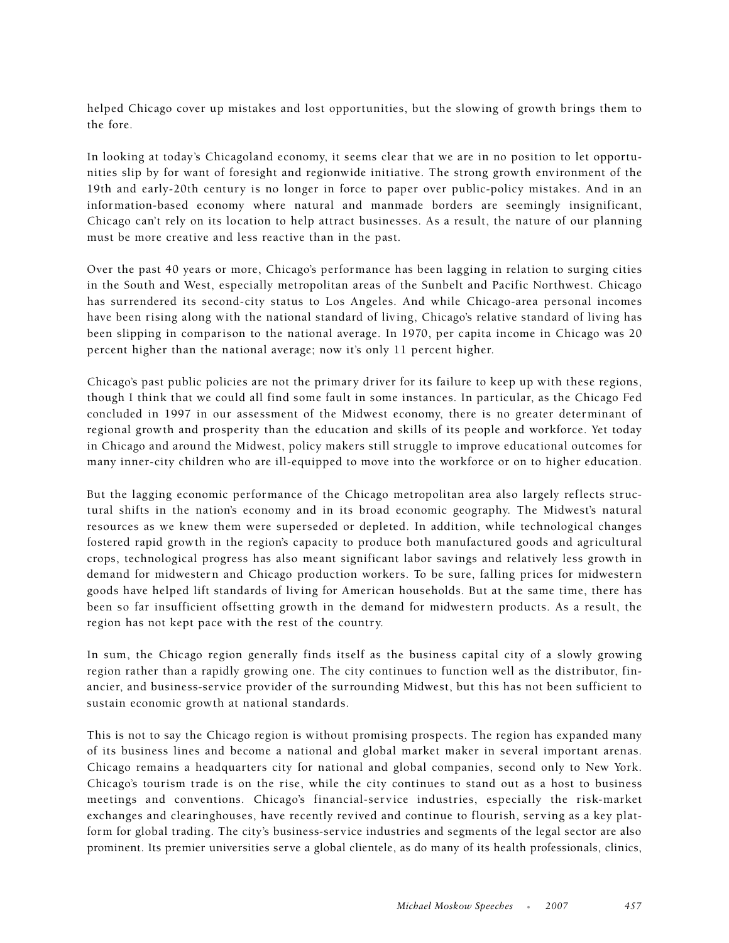helped Chicago cover up mistakes and lost opportunities, but the slowing of growth brings them to the fore.

In looking at today's Chicagoland economy, it seems clear that we are in no position to let opportunities slip by for want of foresight and regionwide initiative. The strong growth environment of the 19th and early-20th century is no longer in force to paper over public-policy mistakes. And in an information-based economy where natural and manmade borders are seemingly insignificant, Chicago can't rely on its location to help attract businesses. As a result, the nature of our planning must be more creative and less reactive than in the past.

Over the past 40 years or more, Chicago's performance has been lagging in relation to surging cities in the South and West, especially metropolitan areas of the Sunbelt and Pacific Northwest. Chicago has surrendered its second-city status to Los Angeles. And while Chicago-area personal incomes have been rising along with the national standard of living, Chicago's relative standard of living has been slipping in comparison to the national average. In 1970, per capita income in Chicago was 20 percent higher than the national average; now it's only 11 percent higher.

Chicago's past public policies are not the primary driver for its failure to keep up with these regions, though I think that we could all find some fault in some instances. In particular, as the Chicago Fed concluded in 1997 in our assessment of the Midwest economy, there is no greater determinant of regional growth and prosperity than the education and skills of its people and workforce. Yet today in Chicago and around the Midwest, policy makers still struggle to improve educational outcomes for many inner-city children who are ill-equipped to move into the workforce or on to higher education.

But the lagging economic performance of the Chicago metropolitan area also largely reflects structural shifts in the nation's economy and in its broad economic geography. The Midwest's natural resources as we knew them were superseded or depleted. In addition, while technological changes fostered rapid growth in the region's capacity to produce both manufactured goods and agricultural crops, technological progress has also meant significant labor savings and relatively less growth in demand for midwestern and Chicago production workers. To be sure, falling prices for midwestern goods have helped lift standards of living for American households. But at the same time, there has been so far insufficient offsetting growth in the demand for midwestern products. As a result, the region has not kept pace with the rest of the country.

In sum, the Chicago region generally finds itself as the business capital city of a slowly growing region rather than a rapidly growing one. The city continues to function well as the distributor, financier, and business-service provider of the surrounding Midwest, but this has not been sufficient to sustain economic growth at national standards.

This is not to say the Chicago region is without promising prospects. The region has expanded many of its business lines and become a national and global market maker in several important arenas. Chicago remains a headquarters city for national and global companies, second only to New York. Chicago's tourism trade is on the rise, while the city continues to stand out as a host to business meetings and conventions. Chicago's financial-service industries, especially the risk-market exchanges and clearinghouses, have recently revived and continue to flourish, serving as a key platform for global trading. The city's business-service industries and segments of the legal sector are also prominent. Its premier universities serve a global clientele, as do many of its health professionals, clinics,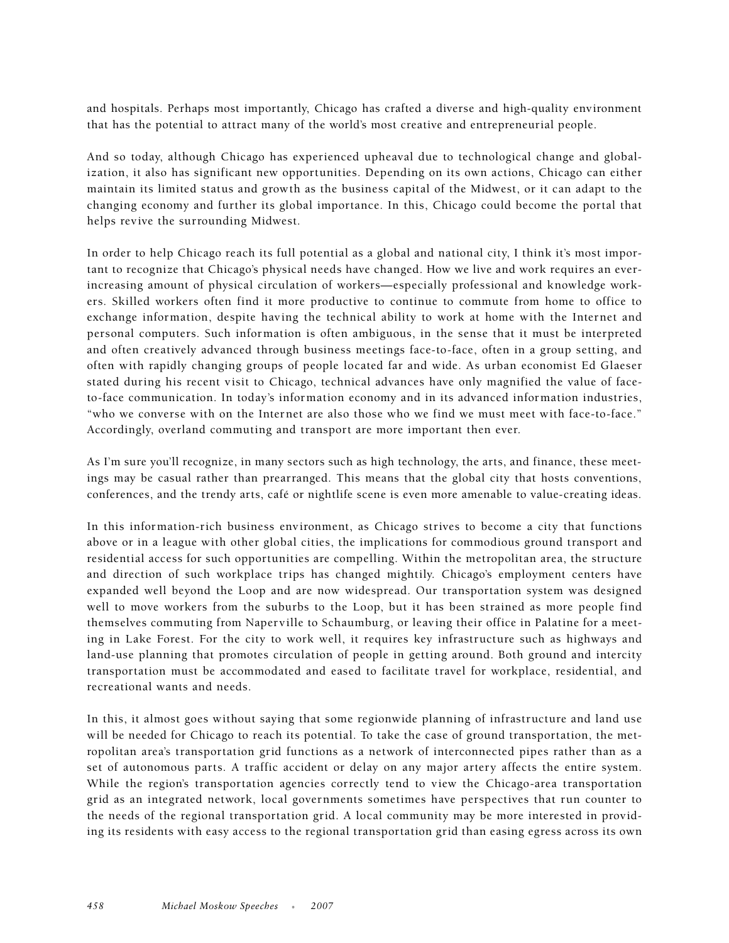and hospitals. Perhaps most importantly, Chicago has crafted a diverse and high-quality environment that has the potential to attract many of the world's most creative and entrepreneurial people.

And so today, although Chicago has experienced upheaval due to technological change and globalization, it also has significant new opportunities. Depending on its own actions, Chicago can either maintain its limited status and growth as the business capital of the Midwest, or it can adapt to the changing economy and further its global importance. In this, Chicago could become the portal that helps revive the surrounding Midwest.

In order to help Chicago reach its full potential as a global and national city, I think it's most important to recognize that Chicago's physical needs have changed. How we live and work requires an everincreasing amount of physical circulation of workers—especially professional and knowledge workers. Skilled workers often find it more productive to continue to commute from home to office to exchange information, despite having the technical ability to work at home with the Internet and personal computers. Such information is often ambiguous, in the sense that it must be interpreted and often creatively advanced through business meetings face-to-face, often in a group setting, and often with rapidly changing groups of people located far and wide. As urban economist Ed Glaeser stated during his recent visit to Chicago, technical advances have only magnified the value of faceto-face communication. In today's information economy and in its advanced information industries, "who we converse with on the Internet are also those who we find we must meet with face-to-face." Accordingly, overland commuting and transport are more important then ever.

As I'm sure you'll recognize, in many sectors such as high technology, the arts, and finance, these meetings may be casual rather than prearranged. This means that the global city that hosts conventions, conferences, and the trendy arts, café or nightlife scene is even more amenable to value-creating ideas.

In this information-rich business environment, as Chicago strives to become a city that functions above or in a league with other global cities, the implications for commodious ground transport and residential access for such opportunities are compelling. Within the metropolitan area, the structure and direction of such workplace trips has changed mightily. Chicago's employment centers have expanded well beyond the Loop and are now widespread. Our transportation system was designed well to move workers from the suburbs to the Loop, but it has been strained as more people find themselves commuting from Naperville to Schaumburg, or leaving their office in Palatine for a meeting in Lake Forest. For the city to work well, it requires key infrastructure such as highways and land-use planning that promotes circulation of people in getting around. Both ground and intercity transportation must be accommodated and eased to facilitate travel for workplace, residential, and recreational wants and needs.

In this, it almost goes without saying that some regionwide planning of infrastructure and land use will be needed for Chicago to reach its potential. To take the case of ground transportation, the metropolitan area's transportation grid functions as a network of interconnected pipes rather than as a set of autonomous parts. A traffic accident or delay on any major artery affects the entire system. While the region's transportation agencies correctly tend to view the Chicago-area transportation grid as an integrated network, local governments sometimes have perspectives that run counter to the needs of the regional transportation grid. A local community may be more interested in providing its residents with easy access to the regional transportation grid than easing egress across its own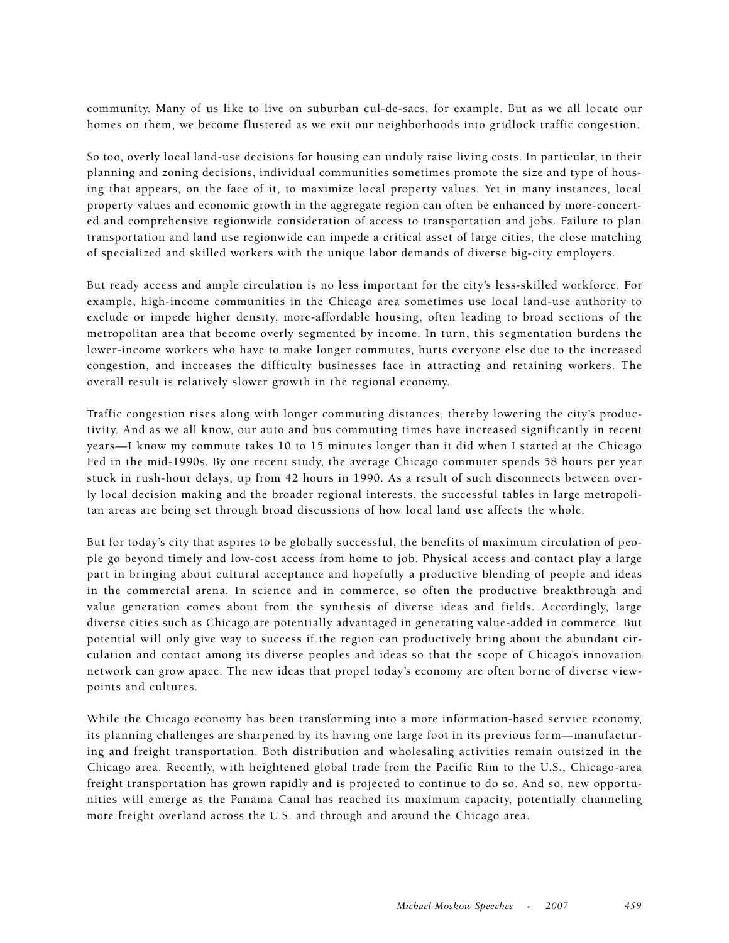community. Many of us like to live on suburban cul-de-sacs, for example. But as we all locate our homes on them, we become flustered as we exit our neighborhoods into gridlock traffic congestion.

So too, overly local land-use decisions for housing can unduly raise living costs. In particular, in their planning and zoning decisions, individual communities sometimes promote the size and type of housing that appears, on the face of it, to maximize local property values. Yet in many instances, local property values and economic growth in the aggregate region can often be enhanced by more-concerted and comprehensive regionwide consideration of access to transportation and jobs. Failure to plan transportation and land use regionwide can impede a critical asset of large cities, the close matching of specialized and skilled workers with the unique labor demands of diverse big-city employers.

But ready access and ample circulation is no less important for the city's less-skilled workforce. For example, high-income communities in the Chicago area sometimes use local land-use authority to exclude or impede higher density, more-affordable housing, often leading to broad sections of the metropolitan area that become overly segmented by income. In turn, this segmentation burdens the lower-income workers who have to make longer commutes, hurts everyone else due to the increased congestion, and increases the difficulty businesses face in attracting and retaining workers. The overall result is relatively slower growth in the regional economy.

Traffic congestion rises along with longer commuting distances, thereby lowering the city's productivity. And as we all know, our auto and bus commuting times have increased significantly in recent years—I know my commute takes 10 to 15 minutes longer than it did when I started at the Chicago Fed in the mid-1990s. By one recent study, the average Chicago commuter spends 58 hours per year stuck in rush-hour delays, up from 42 hours in 1990. As a result of such disconnects between overly local decision making and the broader regional interests, the successful tables in large metropolitan areas are being set through broad discussions of how local land use affects the whole.

But for today's city that aspires to be globally successful, the benefits of maximum circulation of people go beyond timely and low-cost access from home to job. Physical access and contact play a large part in bringing about cultural acceptance and hopefully a productive blending of people and ideas in the commercial arena. In science and in commerce, so often the productive breakthrough and value generation comes about from the synthesis of diverse ideas and fields. Accordingly, large diverse cities such as Chicago are potentially advantaged in generating value-added in commerce. But potential will only give way to success if the region can productively bring about the abundant circulation and contact among its diverse peoples and ideas so that the scope of Chicago's innovation network can grow apace. The new ideas that propel today's economy are often borne of diverse viewpoints and cultures.

While the Chicago economy has been transforming into a more information-based service economy, its planning challenges are sharpened by its having one large foot in its previous form—manufacturing and freight transportation. Both distribution and wholesaling activities remain outsized in the Chicago area. Recently, with heightened global trade from the Pacific Rim to the U.S., Chicago-area freight transportation has grown rapidly and is projected to continue to do so. And so, new opportunities will emerge as the Panama Canal has reached its maximum capacity, potentially channeling more freight overland across the U.S. and through and around the Chicago area.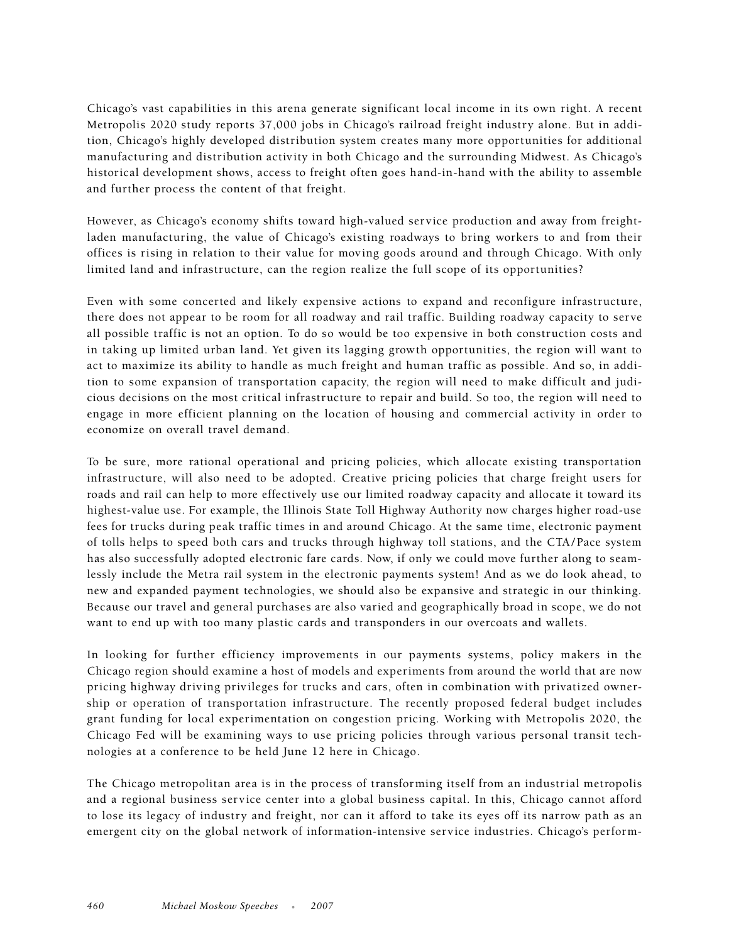Chicago's vast capabilities in this arena generate significant local income in its own right. A recent Metropolis 2020 study reports 37,000 jobs in Chicago's railroad freight industry alone. But in addition, Chicago's highly developed distribution system creates many more opportunities for additional manufacturing and distribution activity in both Chicago and the surrounding Midwest. As Chicago's historical development shows, access to freight often goes hand-in-hand with the ability to assemble and further process the content of that freight.

However, as Chicago's economy shifts toward high-valued service production and away from freightladen manufacturing, the value of Chicago's existing roadways to bring workers to and from their offices is rising in relation to their value for moving goods around and through Chicago. With only limited land and infrastructure, can the region realize the full scope of its opportunities?

Even with some concerted and likely expensive actions to expand and reconfigure infrastructure, there does not appear to be room for all roadway and rail traffic. Building roadway capacity to serve all possible traffic is not an option. To do so would be too expensive in both construction costs and in taking up limited urban land. Yet given its lagging growth opportunities, the region will want to act to maximize its ability to handle as much freight and human traffic as possible. And so, in addition to some expansion of transportation capacity, the region will need to make difficult and judicious decisions on the most critical infrastructure to repair and build. So too, the region will need to engage in more efficient planning on the location of housing and commercial activity in order to economize on overall travel demand.

To be sure, more rational operational and pricing policies, which allocate existing transportation infrastructure, will also need to be adopted. Creative pricing policies that charge freight users for roads and rail can help to more effectively use our limited roadway capacity and allocate it toward its highest-value use. For example, the Illinois State Toll Highway Authority now charges higher road-use fees for trucks during peak traffic times in and around Chicago. At the same time, electronic payment of tolls helps to speed both cars and trucks through highway toll stations, and the CTA / Pace system has also successfully adopted electronic fare cards. Now, if only we could move further along to seamlessly include the Metra rail system in the electronic payments system! And as we do look ahead, to new and expanded payment technologies, we should also be expansive and strategic in our thinking. Because our travel and general purchases are also varied and geographically broad in scope, we do not want to end up with too many plastic cards and transponders in our overcoats and wallets.

In looking for further efficiency improvements in our payments systems, policy makers in the Chicago region should examine a host of models and experiments from around the world that are now pricing highway driving privileges for trucks and cars, often in combination with privatized ownership or operation of transportation infrastructure. The recently proposed federal budget includes grant funding for local experimentation on congestion pricing. Working with Metropolis 2020, the Chicago Fed will be examining ways to use pricing policies through various personal transit technologies at a conference to be held June 12 here in Chicago.

The Chicago metropolitan area is in the process of transforming itself from an industrial metropolis and a regional business service center into a global business capital. In this, Chicago cannot afford to lose its legacy of industry and freight, nor can it afford to take its eyes off its narrow path as an emergent city on the global network of information-intensive service industries. Chicago's perform